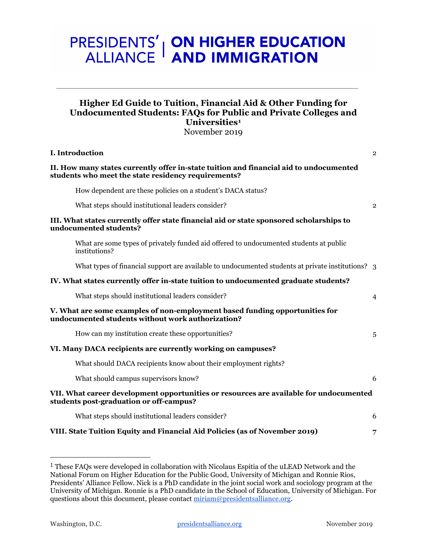# **PRESIDENTS' | ON HIGHER EDUCATION<br>ALLIANCE | AND IMMIGRATION**

## **Higher Ed Guide to Tuition, Financial Aid & Other Funding for Undocumented Students: FAQs for Public and Private Colleges and Universities[1](#page-0-0)**

November 2019

| I. Introduction                                                                                                                               | $\overline{2}$ |
|-----------------------------------------------------------------------------------------------------------------------------------------------|----------------|
| II. How many states currently offer in-state tuition and financial aid to undocumented<br>students who meet the state residency requirements? |                |
| How dependent are these policies on a student's DACA status?                                                                                  |                |
| What steps should institutional leaders consider?                                                                                             | $\overline{2}$ |
| III. What states currently offer state financial aid or state sponsored scholarships to<br>undocumented students?                             |                |
| What are some types of privately funded aid offered to undocumented students at public<br>institutions?                                       |                |
| What types of financial support are available to undocumented students at private institutions? 3                                             |                |
| IV. What states currently offer in-state tuition to undocumented graduate students?                                                           |                |
| What steps should institutional leaders consider?                                                                                             | $\overline{4}$ |
| V. What are some examples of non-employment based funding opportunities for<br>undocumented students without work authorization?              |                |
| How can my institution create these opportunities?                                                                                            | 5              |
| VI. Many DACA recipients are currently working on campuses?                                                                                   |                |
| What should DACA recipients know about their employment rights?                                                                               |                |
| What should campus supervisors know?                                                                                                          | 6              |
| VII. What career development opportunities or resources are available for undocumented<br>students post-graduation or off-campus?             |                |
| What steps should institutional leaders consider?                                                                                             | 6              |
| VIII. State Tuition Equity and Financial Aid Policies (as of November 2019)                                                                   | 7              |

<span id="page-0-0"></span> <sup>1</sup> These FAQs were developed in collaboration with Nicolaus Espitia of the uLEAD Network and the National Forum on Higher Education for the Public Good, University of Michigan and Ronnie Rios, Presidents' Alliance Fellow. Nick is a PhD candidate in the joint social work and sociology program at the University of Michigan. Ronnie is a PhD candidate in the School of Education, University of Michigan. For questions about this document, please contact [miriam@presidentsalliance.org.](mailto:miriam@presidentsalliance.org)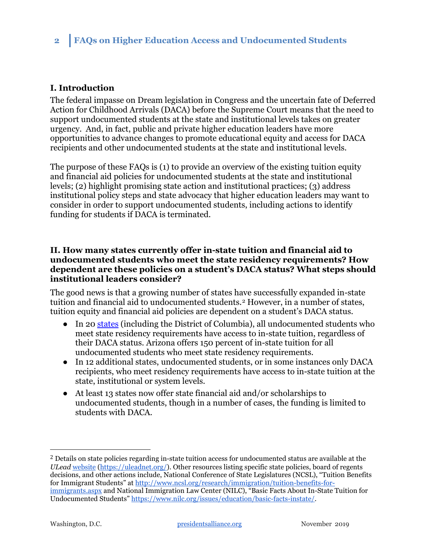## <span id="page-1-0"></span>**I. Introduction**

The federal impasse on Dream legislation in Congress and the uncertain fate of Deferred Action for Childhood Arrivals (DACA) before the Supreme Court means that the need to support undocumented students at the state and institutional levels takes on greater urgency. And, in fact, public and private higher education leaders have more opportunities to advance changes to promote educational equity and access for DACA recipients and other undocumented students at the state and institutional levels.

The purpose of these FAQs is (1) to provide an overview of the existing tuition equity and financial aid policies for undocumented students at the state and institutional levels; (2) highlight promising state action and institutional practices; (3) address institutional policy steps and state advocacy that higher education leaders may want to consider in order to support undocumented students, including actions to identify funding for students if DACA is terminated.

### <span id="page-1-1"></span>**II. How many states currently offer in-state tuition and financial aid to undocumented students who meet the state residency requirements? How dependent are these policies on a student's DACA status? What steps should institutional leaders consider?**

The good news is that a growing number of states have successfully expanded in-state tuition and financial aid to undocumented students.[2](#page-1-2) However, in a number of states, tuition equity and financial aid policies are dependent on a student's DACA status.

- In 20 [states](https://uleadnet.org/) (including the District of Columbia), all undocumented students who meet state residency requirements have access to in-state tuition, regardless of their DACA status. Arizona offers 150 percent of in-state tuition for all undocumented students who meet state residency requirements.
- In 12 additional states, undocumented students, or in some instances only DACA recipients, who meet residency requirements have access to in-state tuition at the state, institutional or system levels.
- At least 13 states now offer state financial aid and/or scholarships to undocumented students, though in a number of cases, the funding is limited to students with DACA.

<span id="page-1-2"></span><sup>&</sup>lt;sup>2</sup> Details on state policies regarding in-state tuition access for undocumented status are available at the *ULead* [website](https://uleadnet.org/) [\(https://uleadnet.org/\)](https://uleadnet.org/). Other resources listing specific state policies, board of regents decisions, and other actions include, National Conference of State Legislatures (NCSL), "Tuition Benefits for Immigrant Students" at [http://www.ncsl.org/research/immigration/tuition-benefits-for](http://www.ncsl.org/research/immigration/tuition-benefits-for-immigrants.aspx)[immigrants.aspx](http://www.ncsl.org/research/immigration/tuition-benefits-for-immigrants.aspx) and National Immigration Law Center (NILC), "Basic Facts About In-State Tuition for Undocumented Students" [https://www.nilc.org/issues/education/basic-facts-instate/.](https://www.nilc.org/issues/education/basic-facts-instate/)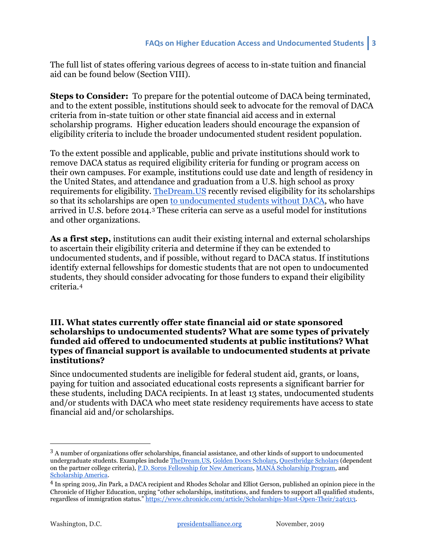The full list of states offering various degrees of access to in-state tuition and financial aid can be found below (Section VIII).

**Steps to Consider:** To prepare for the potential outcome of DACA being terminated, and to the extent possible, institutions should seek to advocate for the removal of DACA criteria from in-state tuition or other state financial aid access and in external scholarship programs. Higher education leaders should encourage the expansion of eligibility criteria to include the broader undocumented student resident population.

To the extent possible and applicable, public and private institutions should work to remove DACA status as required eligibility criteria for funding or program access on their own campuses. For example, institutions could use date and length of residency in the United States, and attendance and graduation from a U.S. high school as proxy requirements for eligibility. [TheDream.US](http://thedream.us/) recently revised eligibility for its scholarships so that its scholarships are open [to undocumented students without DACA,](https://www.thedream.us/news/thedream-us-announces-opening-of-new-scholarship-round-and-broader-eligibility-criteria-for-dreamers-seeking-a-college-education/) who have arrived in U.S. before 2014.[3](#page-2-1) These criteria can serve as a useful model for institutions and other organizations.

**As a first step,** institutions can audit their existing internal and external scholarships to ascertain their eligibility criteria and determine if they can be extended to undocumented students, and if possible, without regard to DACA status. If institutions identify external fellowships for domestic students that are not open to undocumented students, they should consider advocating for those funders to expand their eligibility criteria.[4](#page-2-2)

### <span id="page-2-0"></span>**III. What states currently offer state financial aid or state sponsored scholarships to undocumented students? What are some types of privately funded aid offered to undocumented students at public institutions? What types of financial support is available to undocumented students at private institutions?**

Since undocumented students are ineligible for federal student aid, grants, or loans, paying for tuition and associated educational costs represents a significant barrier for these students, including DACA recipients. In at least 13 states, undocumented students and/or students with DACA who meet state residency requirements have access to state financial aid and/or scholarships.

<span id="page-2-1"></span><sup>&</sup>lt;sup>3</sup> A number of organizations offer scholarships, financial assistance, and other kinds of support to undocumented undergraduate students. Examples include [TheDream.US,](https://www.thedream.us/scholarships/) [Golden Doors Scholars,](https://www.goldendoorscholars.org/) [Questbridge Scholars](https://www.questbridge.org/high-school-students/national-college-match/scholarship-details) (dependent on the partner college criteria)[, P.D. Soros Fellowship for New Americans,](https://www.pdsoros.org/) [MANÁ](https://learnmore.scholarsapply.org/mana/) [Scholarship Program,](https://learnmore.scholarsapply.org/mana/) and [Scholarship America.](https://scholarshipamerica.org/give/our-scholarships/dream-award/) 

<span id="page-2-2"></span><sup>4</sup> In spring 2019, Jin Park, a DACA recipient and Rhodes Scholar and Elliot Gerson, published an opinion piece in the Chronicle of Higher Education, urging "other scholarships, institutions, and funders to support all qualified students, regardless of immigration status." [https://www.chronicle.com/article/Scholarships-Must-Open-Their/246313.](https://www.chronicle.com/article/Scholarships-Must-Open-Their/246313)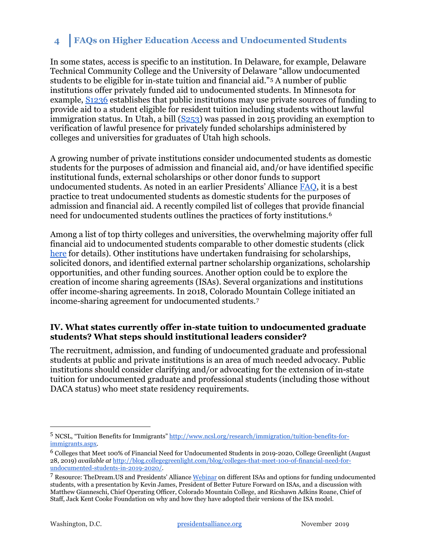In some states, access is specific to an institution. In Delaware, for example, [Delaware](https://www.nilc.org/issues/education/basic-facts-instate/)  [Technical Community College and the University of Delaware "allow undocumented](https://www.nilc.org/issues/education/basic-facts-instate/)  [students to be eligible for in-state tuition and financial aid."](https://www.nilc.org/issues/education/basic-facts-instate/)[5](#page-3-1) A number of public institutions offer privately funded aid to undocumented students. In Minnesota for example, [S1236](https://www.revisor.mn.gov/bills/status_description.php?f=SF1236&ssn=0&y=2013) establishes that public institutions may use private sources of funding to provide aid to a student eligible for resident tuition including students without lawful immigration status. In Utah, a bill  $(S253)$  was passed in 2015 providing an exemption to verification of lawful presence for privately funded scholarships administered by colleges and universities for graduates of Utah high schools.

A growing number of private institutions consider undocumented students as domestic students for the purposes of admission and financial aid, and/or have identified specific institutional funds, external scholarships or other donor funds to support undocumented students. As noted in an earlier Presidents' Alliance [FAQ,](https://19lwtt3nwtm12axw5e31ay5s-wpengine.netdna-ssl.com/wp-content/uploads/2018/04/FAQ1-Undocumented-Students-HigherEd-Presidents-Alliance-3.27.18.pdf) it is a best practice to treat undocumented students as domestic students for the purposes of admission and financial aid. A recently compiled list of colleges that provide financial need for undocumented students outlines the practices of forty institutions.[6](#page-3-2)

Among a list of top thirty colleges and universities, the overwhelming majority offer full financial aid to undocumented students comparable to other domestic students (click [here](https://www.presidentsimmigrationalliance.org/institutional-admission-and-financial-aid-policies-for-undocumented-students-among-highly-ranked-institutions/) for details). Other institutions have undertaken fundraising for scholarships, solicited donors, and identified external partner scholarship organizations, scholarship opportunities, and other funding sources. Another option could be to explore the creation of income sharing agreements (ISAs). Several organizations and institutions offer income-sharing agreements. In 2018, Colorado Mountain College initiated an income-sharing agreement for undocumented students.[7](#page-3-3)

## <span id="page-3-0"></span>**IV. What states currently offer in-state tuition to undocumented graduate students? What steps should institutional leaders consider?**

The recruitment, admission, and funding of undocumented graduate and professional students at public and private institutions is an area of much needed advocacy. Public institutions should consider clarifying and/or advocating for the extension of in-state tuition for undocumented graduate and professional students (including those without DACA status) who meet state residency requirements.

<span id="page-3-1"></span> <sup>5</sup> NCSL, "Tuition Benefits for Immigrants" [http://www.ncsl.org/research/immigration/tuition-benefits-for](http://www.ncsl.org/research/immigration/tuition-benefits-for-immigrants.aspx)[immigrants.aspx.](http://www.ncsl.org/research/immigration/tuition-benefits-for-immigrants.aspx)

<span id="page-3-2"></span><sup>6</sup> Colleges that Meet 100% of Financial Need for Undocumented Students in 2019-2020, College Greenlight (August 28, 2019) *available at* [http://blog.collegegreenlight.com/blog/colleges-that-meet-100-of-financial-need-for](http://blog.collegegreenlight.com/blog/colleges-that-meet-100-of-financial-need-for-undocumented-students-in-2019-2020/)[undocumented-students-in-2019-2020/.](http://blog.collegegreenlight.com/blog/colleges-that-meet-100-of-financial-need-for-undocumented-students-in-2019-2020/) 

<span id="page-3-3"></span><sup>&</sup>lt;sup>7</sup> Resource: TheDream.US and Presidents' Allianc[e Webinar](https://www.presidentsimmigrationalliance.org/bestpractices/) on different ISAs and options for funding undocumented students, with a presentation by Kevin James, President of Better Future Forward on ISAs, and a discussion with Matthew Gianneschi, Chief Operating Officer, Colorado Mountain College, and Ricshawn Adkins Roane, Chief of Staff, Jack Kent Cooke Foundation on why and how they have adopted their versions of the ISA model.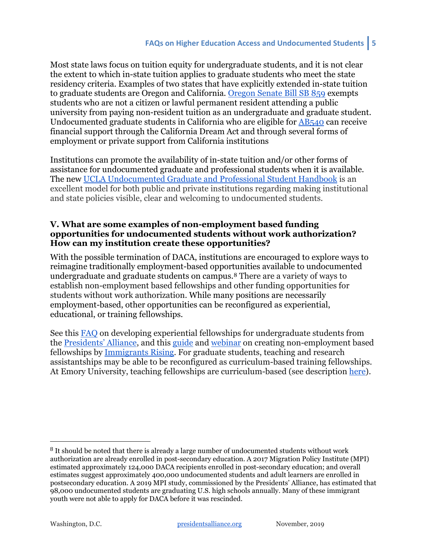Most state laws focus on tuition equity for undergraduate students, and it is not clear the extent to which in-state tuition applies to graduate students who meet the state residency criteria. Examples of two states that have explicitly extended in-state tuition to graduate students are Oregon and California. [Oregon Senate Bill SB 859](https://www.scribd.com/document/406754818/Senate-Bill-859#from_embed) exempts students who are not a citizen or lawful permanent resident attending a public university from paying non-resident tuition as an undergraduate and graduate student. Undocumented graduate students in California who are eligible for [AB540](https://leginfo.legislature.ca.gov/faces/billNavClient.xhtml?bill_id=200120020AB540) can receive financial support through the California Dream Act and through several forms of employment or private support from California institutions

Institutions can promote the availability of in-state tuition and/or other forms of assistance for undocumented graduate and professional students when it is available. The new [UCLA Undocumented Graduate and Professional Student Handbook](https://www.presidentsimmigrationalliance.org/wp-content/uploads/2019/11/UCLA_Undocumented_handbook_WEB_Oct2019.pdf) is an excellent model for both public and private institutions regarding making institutional and state policies visible, clear and welcoming to undocumented students.

### <span id="page-4-0"></span>**V. What are some examples of non-employment based funding opportunities for undocumented students without work authorization? How can my institution create these opportunities?**

With the possible termination of DACA, institutions are encouraged to explore ways to reimagine traditionally employment-based opportunities available to undocumented undergraduate and graduate students on campus.[8](#page-4-1) There are a variety of ways to establish non-employment based fellowships and other funding opportunities for students without work authorization. While many positions are necessarily employment-based, other opportunities can be reconfigured as experiential, educational, or training fellowships.

See this [FAQ](https://19lwtt3nwtm12axw5e31ay5s-wpengine.netdna-ssl.com/wp-content/uploads/2018/04/FAQ3-NonEmployment-Fellowship-Opportunities-Presidents-Alliance-3.27.18.pdf) on developing experiential fellowships for undergraduate students from the [Presidents' Alliance,](http://prezalliance.wpengine.com/) and this [guide](https://immigrantsrising.org/resource/creating-fellowship-programs-for-educational-institutions/) and [webinar](https://immigrantsrising.org/resource/creating-fellowship-programs-for-educational-institutions-webinar/) on creating non-employment based fellowships by [Immigrants Rising.](https://immigrantsrising.org/resources/) For graduate students, teaching and research assistantships may be able to be reconfigured as curriculum-based training fellowships. At Emory University, teaching fellowships are curriculum-based (see description [here\)](http://www.physics.emory.edu/home/academic/graduate/guide.html).

<span id="page-4-1"></span><sup>&</sup>lt;sup>8</sup> It should be noted that there is already a large number of undocumented students without work authorization are already enrolled in post-secondary education. A 2017 Migration Policy Institute (MPI) estimated approximately 124,000 DACA recipients enrolled in post-secondary education; and overall estimates suggest approximately 400,000 undocumented students and adult learners are enrolled in postsecondary education. A 2019 MPI study, commissioned by the Presidents' Alliance, has estimated that 98,000 undocumented students are graduating U.S. high schools annually. Many of these immigrant youth were not able to apply for DACA before it was rescinded.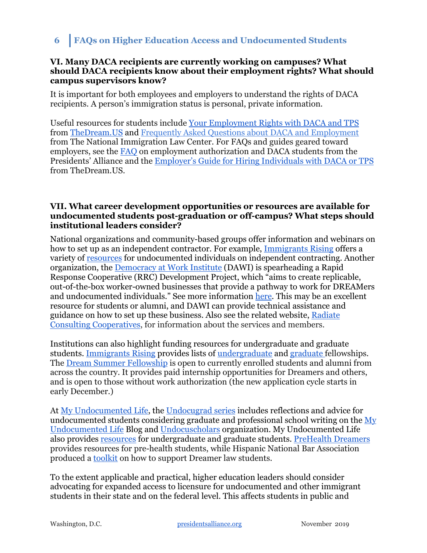#### <span id="page-5-0"></span>**VI. Many DACA recipients are currently working on campuses? What should DACA recipients know about their employment rights? What should campus supervisors know?**

It is important for both employees and employers to understand the rights of DACA recipients. A person's immigration status is personal, private information.

Useful resources for students include [Your Employment Rights with DACA and TPS](https://www.thedream.us/wp-content/uploads/2019/08/TheDream.US-Employment-Guide-for-DREAMers.pdf) from [TheDream.US](https://www.thedream.us/) an[d](https://www.nilc.org/issues/daca/about-daca-and-employment/) [Frequently Asked Questions about DACA and Employment](https://www.nilc.org/issues/daca/about-daca-and-employment/) from The National Immigration Law Center. For FAQs and guides geared toward employers, see the [FAQ](https://19lwtt3nwtm12axw5e31ay5s-wpengine.netdna-ssl.com/wp-content/uploads/2018/04/FAQ2-Employment-Authorization-Presidents-Alliance-3.27.18.pdf) on employment authorization and DACA students from the Presidents' Alliance and the [Employer's Guide for Hiring Individuals with DACA or TPS](https://www.thedream.us/wp-content/uploads/2019/08/TheDream.US-Employment-Guide-for-Employers.pdf) from TheDream.US.

### <span id="page-5-1"></span>**VII. What career development opportunities or resources are available for undocumented students post-graduation or off-campus? What steps should institutional leaders consider?**

National organizations and community-based groups offer information and webinars on how to set up as an independent contractor. For example, [Immigrants Rising](https://immigrantsrising.org/) offers a variety of [resources](https://immigrantsrising.org/resources?_sft_geography=california,national&_sft_keyword=independent-contracting) for undocumented individuals on independent contracting. Another organization, the [Democracy at Work Institute](https://institute.coop/) (DAWI) is spearheading a Rapid Response Cooperative (RRC) Development Project, which "aims to create replicable, out-of-the-box worker-owned businesses that provide a pathway to work for DREAMers and undocumented individuals." See more information [here.](https://www.presidentsimmigrationalliance.org/wp-content/uploads/2019/11/Our-Work_RRC_FINAL.pdf) This may be an excellent resource for students or alumni, and DAWI can provide technical assistance and guidance on how to set up these business. Also see the related website, [Radiate](http://radiateconsulting.coop/)  [Consulting Cooperatives,](http://radiateconsulting.coop/) for information about the services and members.

Institutions can also highlight funding resources for undergraduate and graduate students. [Immigrants Rising](https://immigrantsrising.org/resources/) provides lists of [undergraduate](https://immigrantsrising.org/resource/list-of-undergraduate-scholarships/) and [graduate](https://immigrantsrising.org/resource/list-of-graduate-scholarships/) fellowships. The [Dream Summer Fellowship](https://www.labor.ucla.edu/what-we-do/dream-resource-center/dream-summer/) is open to currently enrolled students and alumni from across the country. It provides paid internship opportunities for Dreamers and others, and is open to those without work authorization (the new application cycle starts in early December.)

At [My Undocumented Life,](https://mydocumentedlife.org/) the [Undocugrad series](https://mydocumentedlife.org/2019/07/10/compilation-of-undocugrads-series/) includes reflections and advice for undocumented students considering graduate and professional school writing on the [My](https://mydocumentedlife.org/)  [Undocumented Life](https://mydocumentedlife.org/) Blog an[d](http://www.undocuscholars.org/) [Undocuscholars](http://www.undocuscholars.org/) organization. My Undocumented Life also provides [resources](https://mydocumentedlife.org/graduate-school-students/) for undergraduate and graduate students. [PreHealth Dreamers](https://www.phdreamers.org/) provides resources for pre-health students, while Hispanic National Bar Association produced a [toolkit](https://www.presidentsimmigrationalliance.org/wp-content/uploads/2019/04/2019-HNBA-Dreamer-Initiative-Final.pdf) on how to support Dreamer law students.

To the extent applicable and practical, higher education leaders should consider advocating for expanded access to licensure for undocumented and other immigrant students in their state and on the federal level. This affects students in public and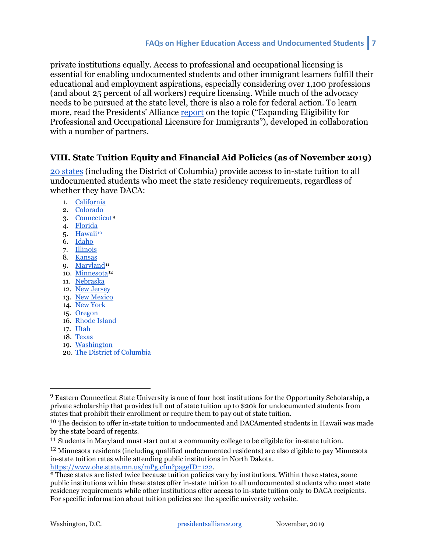private institutions equally. Access to professional and occupational licensing is essential for enabling undocumented students and other immigrant learners fulfill their educational and employment aspirations, especially considering over 1,100 professions (and about 25 percent of all workers) require licensing. While much of the advocacy needs to be pursued at the state level, there is also a role for federal action. To learn more, read the Presidents' Alliance [report](https://www.presidentsimmigrationalliance.org/pressrelease/new-report-congress-and-states-must-expand-job-licensing-to-dreamers-and-immigrants/) on the topic ("Expanding Eligibility for Professional and Occupational Licensure for Immigrants"), developed in collaboration with a number of partners.

## <span id="page-6-0"></span>**VIII. State Tuition Equity and Financial Aid Policies (as of November 2019)**

[20 states](https://uleadnet.org/) (including the District of Columbia) provide access to in-state tuition to all undocumented students who meet the state residency requirements, regardless of whether they have DACA:

- 1. [California](https://uleadnet.org/map/california-policy)
- 2. [Colorado](http://www.leg.state.co.us/clics/clics2013a/csl.nsf/fsbillcont3/E083F0BE76DFD8F087257A8E0073BFC9?Open&file=033_enr.pdf)
- 3. [Connecticut](https://uleadnet.org/map/connecticut-policy)[9](#page-6-1)
- 4. [Florida](https://uleadnet.org/map/florida-policy)
- 5. [Hawaii](https://uleadnet.org/map/hawaii-policy)<sup>[10](#page-6-2)</sup>
- 6. [Idaho](https://uleadnet.org/map/idaho-policy)
- 7. [Illinois](https://uleadnet.org/map/illinois-policy)
- 8. [Kansas](https://uleadnet.org/map/kansas-policy)
- 9. [Maryland](https://uleadnet.org/map/maryland-policy)<sup>[11](#page-6-3)</sup>
- 10. [Minnesota](https://uleadnet.org/map/minnesota-policy)<sup>[12](#page-6-4)</sup>
- 11. [Nebraska](https://uleadnet.org/map/nebraska-policy)
- 12. [New Jersey](https://uleadnet.org/map/new-jersey-policy)
- 13. [New Mexico](https://uleadnet.org/map/new-mexico-policy) 14. [New York](https://uleadnet.org/map/new-york-policy)
- 15. [Oregon](https://uleadnet.org/map/oregon-policy)
- 16. [Rhode Island](https://uleadnet.org/map/rhode-island-policy)
- 17. [Utah](https://uleadnet.org/map/utah-policy)
- 18. [Texas](https://uleadnet.org/map/texas-policy)
- 19. [Washington](https://uleadnet.org/map/washington-policy)
- 20. [The District of Columbia](http://lims.dccouncil.us/Download/34620/B21-0422-SignedAct.pdf)

<span id="page-6-1"></span> <sup>9</sup> Eastern Connecticut State University is one of four host institutions for the Opportunity Scholarship, a private scholarship that provides full out of state tuition up to \$20k for undocumented students from states that prohibit their enrollment or require them to pay out of state tuition.

<span id="page-6-2"></span> $10$  The decision to offer in-state tuition to undocumented and DACAmented students in Hawaii was made by the state board of regents.

<span id="page-6-3"></span><sup>&</sup>lt;sup>11</sup> Students in Maryland must start out at a community college to be eligible for in-state tuition.

<span id="page-6-4"></span><sup>12</sup> Minnesota residents (including qualified undocumented residents) are also eligible to pay Minnesota in-state tuition rates while attending public institutions in North Dakota. [https://www.ohe.state.mn.us/mPg.cfm?pageID=122.](https://www.ohe.state.mn.us/mPg.cfm?pageID=122)

<sup>\*</sup> These states are listed twice because tuition policies vary by institutions. Within these states, some public institutions within these states offer in-state tuition to all undocumented students who meet state residency requirements while other institutions offer access to in-state tuition only to DACA recipients. For specific information about tuition policies see the specific university website.